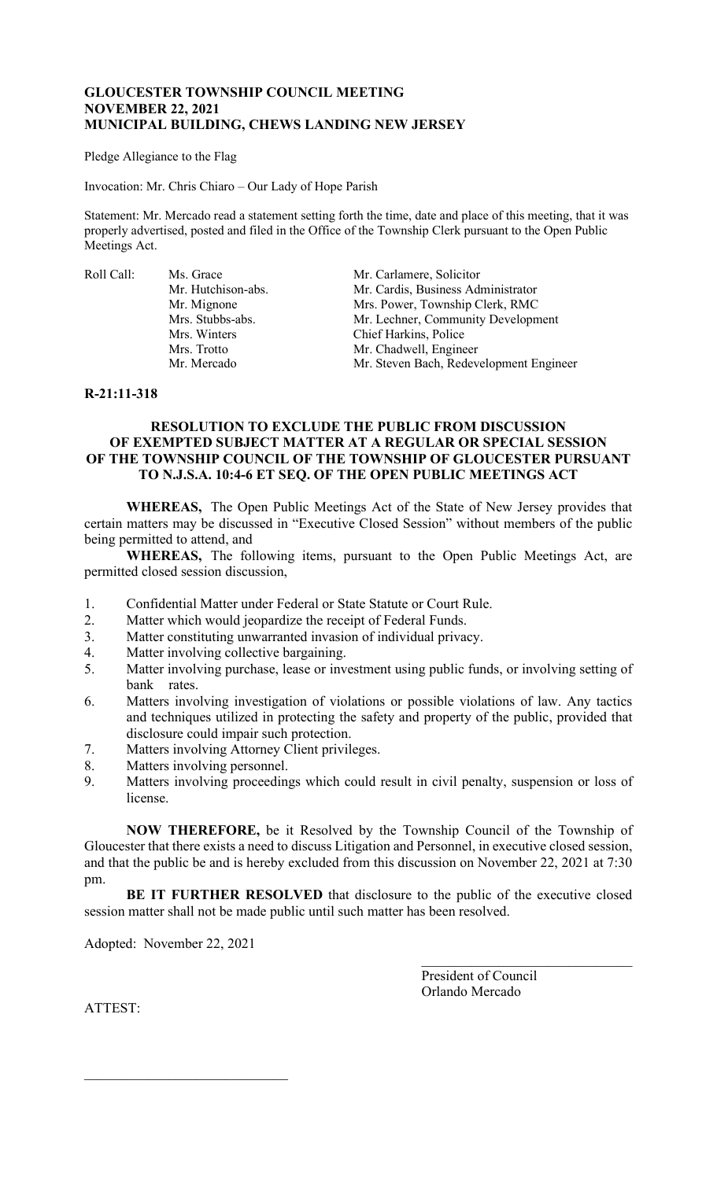# **GLOUCESTER TOWNSHIP COUNCIL MEETING NOVEMBER 22, 2021 MUNICIPAL BUILDING, CHEWS LANDING NEW JERSEY**

Pledge Allegiance to the Flag

Invocation: Mr. Chris Chiaro – Our Lady of Hope Parish

Statement: Mr. Mercado read a statement setting forth the time, date and place of this meeting, that it was properly advertised, posted and filed in the Office of the Township Clerk pursuant to the Open Public Meetings Act.

Roll Call: Ms. Grace Mr. Carlamere, Solicitor

Mr. Hutchison-abs. Mr. Cardis, Business Administrator<br>Mr. Mignone Mrs. Power, Township Clerk, RMC Mrs. Power, Township Clerk, RMC Mrs. Stubbs-abs. Mr. Lechner, Community Development Mrs. Winters Chief Harkins, Police<br>Mrs. Trotto Mr. Chadwell. Engine Mrs. Trotto Mr. Chadwell, Engineer<br>Mr. Mercado Mr. Steven Bach, Redev Mr. Steven Bach, Redevelopment Engineer

## **R-21:11-318**

# **RESOLUTION TO EXCLUDE THE PUBLIC FROM DISCUSSION OF EXEMPTED SUBJECT MATTER AT A REGULAR OR SPECIAL SESSION OF THE TOWNSHIP COUNCIL OF THE TOWNSHIP OF GLOUCESTER PURSUANT TO N.J.S.A. 10:4-6 ET SEQ. OF THE OPEN PUBLIC MEETINGS ACT**

**WHEREAS,** The Open Public Meetings Act of the State of New Jersey provides that certain matters may be discussed in "Executive Closed Session" without members of the public being permitted to attend, and

**WHEREAS,** The following items, pursuant to the Open Public Meetings Act, are permitted closed session discussion,

- 1. Confidential Matter under Federal or State Statute or Court Rule.<br>2. Matter which would jeopardize the receipt of Federal Funds.
- Matter which would jeopardize the receipt of Federal Funds.
- 3. Matter constituting unwarranted invasion of individual privacy.
- 4. Matter involving collective bargaining.
- 5. Matter involving purchase, lease or investment using public funds, or involving setting of bank rates.
- 6. Matters involving investigation of violations or possible violations of law. Any tactics and techniques utilized in protecting the safety and property of the public, provided that disclosure could impair such protection.
- 7. Matters involving Attorney Client privileges.
- 8. Matters involving personnel.
- 9. Matters involving proceedings which could result in civil penalty, suspension or loss of license.

**NOW THEREFORE,** be it Resolved by the Township Council of the Township of Gloucester that there exists a need to discuss Litigation and Personnel, in executive closed session, and that the public be and is hereby excluded from this discussion on November 22, 2021 at 7:30 pm.

**BE IT FURTHER RESOLVED** that disclosure to the public of the executive closed session matter shall not be made public until such matter has been resolved.

Adopted: November 22, 2021

 $\mathcal{L}_\mathcal{L}$  , which is a set of the set of the set of the set of the set of the set of the set of the set of the set of the set of the set of the set of the set of the set of the set of the set of the set of the set of

President of Council Orlando Mercado

\_\_\_\_\_\_\_\_\_\_\_\_\_\_\_\_\_\_\_\_\_\_\_\_\_\_\_\_\_\_

ATTEST: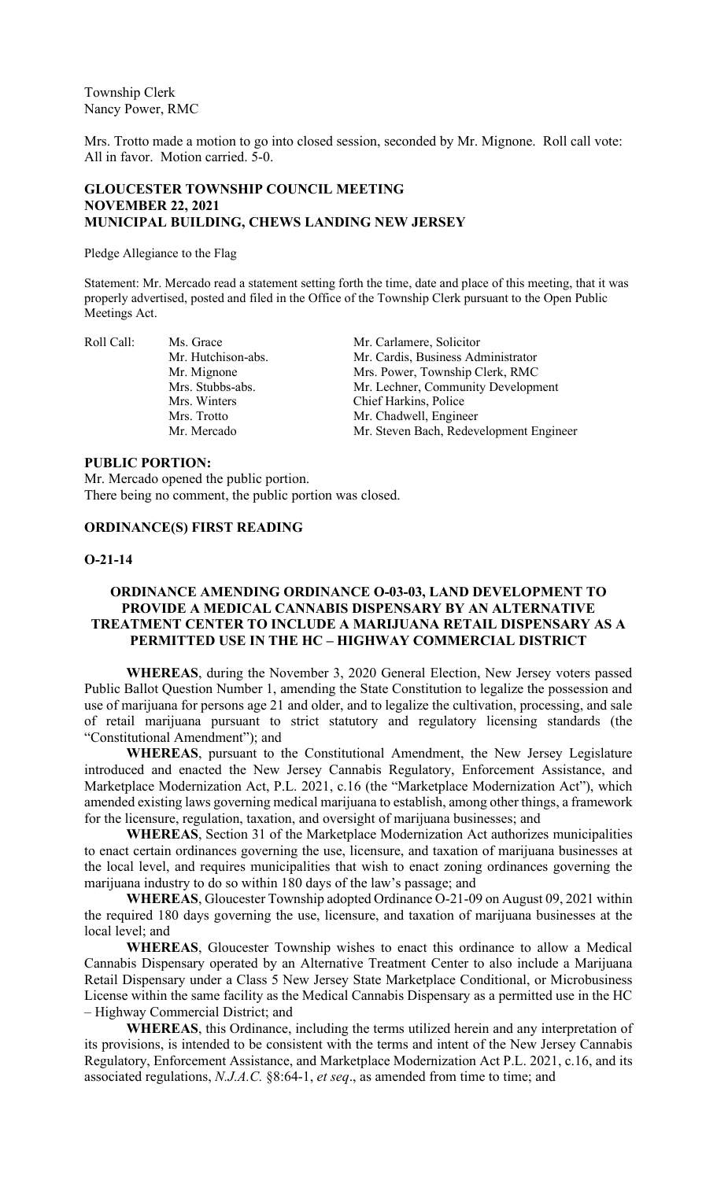Township Clerk Nancy Power, RMC

Mrs. Trotto made a motion to go into closed session, seconded by Mr. Mignone. Roll call vote: All in favor. Motion carried. 5-0.

## **GLOUCESTER TOWNSHIP COUNCIL MEETING NOVEMBER 22, 2021 MUNICIPAL BUILDING, CHEWS LANDING NEW JERSEY**

Pledge Allegiance to the Flag

Statement: Mr. Mercado read a statement setting forth the time, date and place of this meeting, that it was properly advertised, posted and filed in the Office of the Township Clerk pursuant to the Open Public Meetings Act.

Roll Call: Ms. Grace Mr. Carlamere, Solicitor Mr. Hutchison-abs. Mr. Cardis, Business Administrator<br>Mr. Mignone Mrs. Power, Township Clerk, RMC Mrs. Power, Township Clerk, RMC Mrs. Stubbs-abs. Mr. Lechner, Community Development Mrs. Winters Chief Harkins, Police Mrs. Trotto Mr. Chadwell, Engineer<br>Mr. Mercado Mr. Steven Bach. Redev Mr. Steven Bach, Redevelopment Engineer

#### **PUBLIC PORTION:**

Mr. Mercado opened the public portion. There being no comment, the public portion was closed.

#### **ORDINANCE(S) FIRST READING**

#### **O-21-14**

# **ORDINANCE AMENDING ORDINANCE O-03-03, LAND DEVELOPMENT TO PROVIDE A MEDICAL CANNABIS DISPENSARY BY AN ALTERNATIVE TREATMENT CENTER TO INCLUDE A MARIJUANA RETAIL DISPENSARY AS A PERMITTED USE IN THE HC – HIGHWAY COMMERCIAL DISTRICT**

**WHEREAS**, during the November 3, 2020 General Election, New Jersey voters passed Public Ballot Question Number 1, amending the State Constitution to legalize the possession and use of marijuana for persons age 21 and older, and to legalize the cultivation, processing, and sale of retail marijuana pursuant to strict statutory and regulatory licensing standards (the "Constitutional Amendment"); and

**WHEREAS**, pursuant to the Constitutional Amendment, the New Jersey Legislature introduced and enacted the New Jersey Cannabis Regulatory, Enforcement Assistance, and Marketplace Modernization Act, P.L. 2021, c.16 (the "Marketplace Modernization Act"), which amended existing laws governing medical marijuana to establish, among other things, a framework for the licensure, regulation, taxation, and oversight of marijuana businesses; and

**WHEREAS**, Section 31 of the Marketplace Modernization Act authorizes municipalities to enact certain ordinances governing the use, licensure, and taxation of marijuana businesses at the local level, and requires municipalities that wish to enact zoning ordinances governing the marijuana industry to do so within 180 days of the law's passage; and

**WHEREAS**, Gloucester Township adopted Ordinance O-21-09 on August 09, 2021 within the required 180 days governing the use, licensure, and taxation of marijuana businesses at the local level; and

**WHEREAS**, Gloucester Township wishes to enact this ordinance to allow a Medical Cannabis Dispensary operated by an Alternative Treatment Center to also include a Marijuana Retail Dispensary under a Class 5 New Jersey State Marketplace Conditional, or Microbusiness License within the same facility as the Medical Cannabis Dispensary as a permitted use in the HC – Highway Commercial District; and

**WHEREAS**, this Ordinance, including the terms utilized herein and any interpretation of its provisions, is intended to be consistent with the terms and intent of the New Jersey Cannabis Regulatory, Enforcement Assistance, and Marketplace Modernization Act P.L. 2021, c.16, and its associated regulations, *N.J.A.C.* §8:64-1, *et seq*., as amended from time to time; and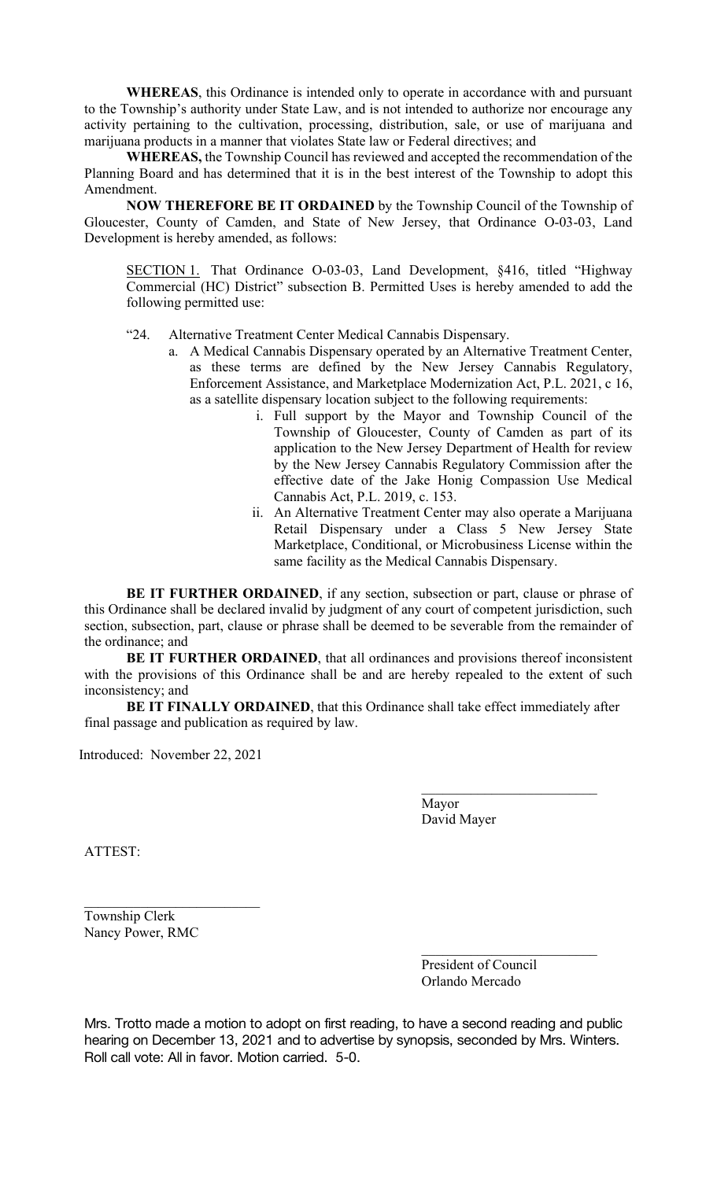**WHEREAS**, this Ordinance is intended only to operate in accordance with and pursuant to the Township's authority under State Law, and is not intended to authorize nor encourage any activity pertaining to the cultivation, processing, distribution, sale, or use of marijuana and marijuana products in a manner that violates State law or Federal directives; and

**WHEREAS,** the Township Council has reviewed and accepted the recommendation of the Planning Board and has determined that it is in the best interest of the Township to adopt this Amendment.

**NOW THEREFORE BE IT ORDAINED** by the Township Council of the Township of Gloucester, County of Camden, and State of New Jersey, that Ordinance O-03-03, Land Development is hereby amended, as follows:

SECTION 1. That Ordinance O-03-03, Land Development, §416, titled "Highway Commercial (HC) District" subsection B. Permitted Uses is hereby amended to add the following permitted use:

- "24. Alternative Treatment Center Medical Cannabis Dispensary.
	- a. A Medical Cannabis Dispensary operated by an Alternative Treatment Center, as these terms are defined by the New Jersey Cannabis Regulatory, Enforcement Assistance, and Marketplace Modernization Act, P.L. 2021, c 16, as a satellite dispensary location subject to the following requirements:
		- i. Full support by the Mayor and Township Council of the Township of Gloucester, County of Camden as part of its application to the New Jersey Department of Health for review by the New Jersey Cannabis Regulatory Commission after the effective date of the Jake Honig Compassion Use Medical Cannabis Act, P.L. 2019, c. 153.
		- ii. An Alternative Treatment Center may also operate a Marijuana Retail Dispensary under a Class 5 New Jersey State Marketplace, Conditional, or Microbusiness License within the same facility as the Medical Cannabis Dispensary.

**BE IT FURTHER ORDAINED**, if any section, subsection or part, clause or phrase of this Ordinance shall be declared invalid by judgment of any court of competent jurisdiction, such section, subsection, part, clause or phrase shall be deemed to be severable from the remainder of the ordinance; and

**BE IT FURTHER ORDAINED**, that all ordinances and provisions thereof inconsistent with the provisions of this Ordinance shall be and are hereby repealed to the extent of such inconsistency; and

**BE IT FINALLY ORDAINED**, that this Ordinance shall take effect immediately after final passage and publication as required by law.

Introduced: November 22, 2021

\_\_\_\_\_\_\_\_\_\_\_\_\_\_\_\_\_\_\_\_\_\_\_\_\_

Mayor David Mayer

\_\_\_\_\_\_\_\_\_\_\_\_\_\_\_\_\_\_\_\_\_\_\_\_\_

ATTEST:

Township Clerk Nancy Power, RMC

> President of Council Orlando Mercado

\_\_\_\_\_\_\_\_\_\_\_\_\_\_\_\_\_\_\_\_\_\_\_\_\_

Mrs. Trotto made a motion to adopt on first reading, to have a second reading and public hearing on December 13, 2021 and to advertise by synopsis, seconded by Mrs. Winters. Roll call vote: All in favor. Motion carried. 5-0.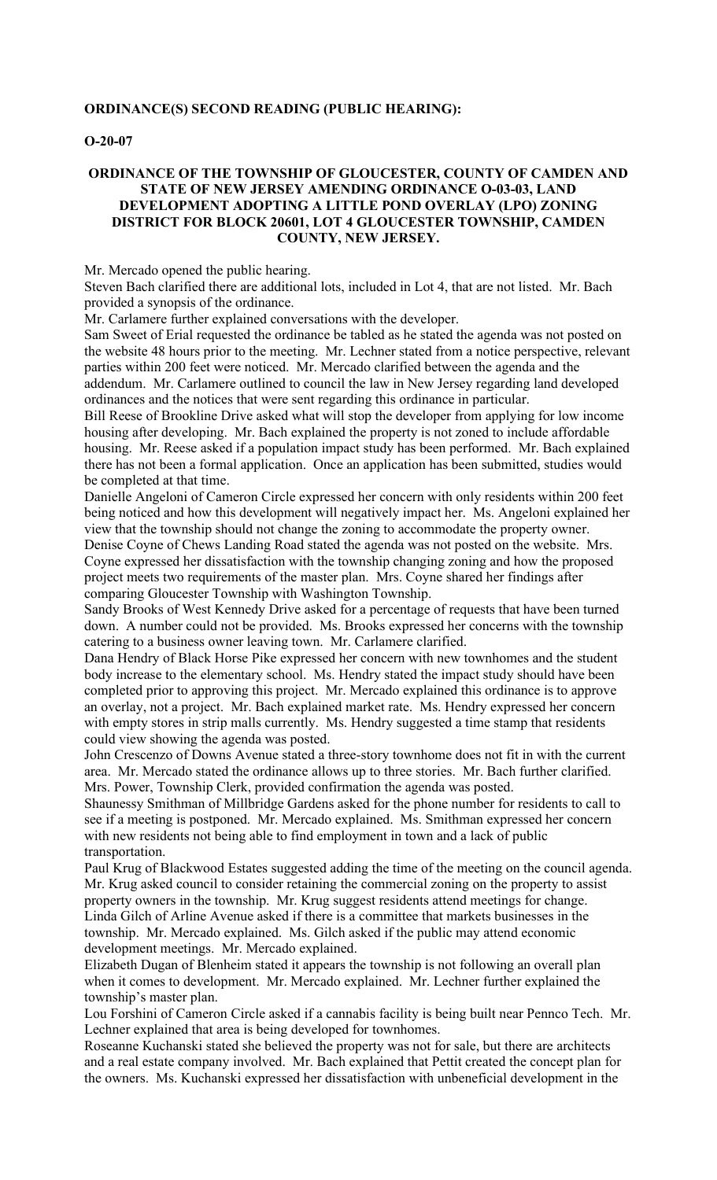## **ORDINANCE(S) SECOND READING (PUBLIC HEARING):**

#### **O-20-07**

## **ORDINANCE OF THE TOWNSHIP OF GLOUCESTER, COUNTY OF CAMDEN AND STATE OF NEW JERSEY AMENDING ORDINANCE O-03-03, LAND DEVELOPMENT ADOPTING A LITTLE POND OVERLAY (LPO) ZONING DISTRICT FOR BLOCK 20601, LOT 4 GLOUCESTER TOWNSHIP, CAMDEN COUNTY, NEW JERSEY.**

Mr. Mercado opened the public hearing.

Steven Bach clarified there are additional lots, included in Lot 4, that are not listed. Mr. Bach provided a synopsis of the ordinance.

Mr. Carlamere further explained conversations with the developer.

Sam Sweet of Erial requested the ordinance be tabled as he stated the agenda was not posted on the website 48 hours prior to the meeting. Mr. Lechner stated from a notice perspective, relevant parties within 200 feet were noticed. Mr. Mercado clarified between the agenda and the addendum. Mr. Carlamere outlined to council the law in New Jersey regarding land developed ordinances and the notices that were sent regarding this ordinance in particular.

Bill Reese of Brookline Drive asked what will stop the developer from applying for low income housing after developing. Mr. Bach explained the property is not zoned to include affordable housing. Mr. Reese asked if a population impact study has been performed. Mr. Bach explained there has not been a formal application. Once an application has been submitted, studies would be completed at that time.

Danielle Angeloni of Cameron Circle expressed her concern with only residents within 200 feet being noticed and how this development will negatively impact her. Ms. Angeloni explained her view that the township should not change the zoning to accommodate the property owner. Denise Coyne of Chews Landing Road stated the agenda was not posted on the website. Mrs. Coyne expressed her dissatisfaction with the township changing zoning and how the proposed

project meets two requirements of the master plan. Mrs. Coyne shared her findings after comparing Gloucester Township with Washington Township.

Sandy Brooks of West Kennedy Drive asked for a percentage of requests that have been turned down. A number could not be provided. Ms. Brooks expressed her concerns with the township catering to a business owner leaving town. Mr. Carlamere clarified.

Dana Hendry of Black Horse Pike expressed her concern with new townhomes and the student body increase to the elementary school. Ms. Hendry stated the impact study should have been completed prior to approving this project. Mr. Mercado explained this ordinance is to approve an overlay, not a project. Mr. Bach explained market rate. Ms. Hendry expressed her concern with empty stores in strip malls currently. Ms. Hendry suggested a time stamp that residents could view showing the agenda was posted.

John Crescenzo of Downs Avenue stated a three-story townhome does not fit in with the current area. Mr. Mercado stated the ordinance allows up to three stories. Mr. Bach further clarified. Mrs. Power, Township Clerk, provided confirmation the agenda was posted.

Shaunessy Smithman of Millbridge Gardens asked for the phone number for residents to call to see if a meeting is postponed. Mr. Mercado explained. Ms. Smithman expressed her concern with new residents not being able to find employment in town and a lack of public transportation.

Paul Krug of Blackwood Estates suggested adding the time of the meeting on the council agenda. Mr. Krug asked council to consider retaining the commercial zoning on the property to assist property owners in the township. Mr. Krug suggest residents attend meetings for change. Linda Gilch of Arline Avenue asked if there is a committee that markets businesses in the township. Mr. Mercado explained. Ms. Gilch asked if the public may attend economic development meetings. Mr. Mercado explained.

Elizabeth Dugan of Blenheim stated it appears the township is not following an overall plan when it comes to development. Mr. Mercado explained. Mr. Lechner further explained the township's master plan.

Lou Forshini of Cameron Circle asked if a cannabis facility is being built near Pennco Tech. Mr. Lechner explained that area is being developed for townhomes.

Roseanne Kuchanski stated she believed the property was not for sale, but there are architects and a real estate company involved. Mr. Bach explained that Pettit created the concept plan for the owners. Ms. Kuchanski expressed her dissatisfaction with unbeneficial development in the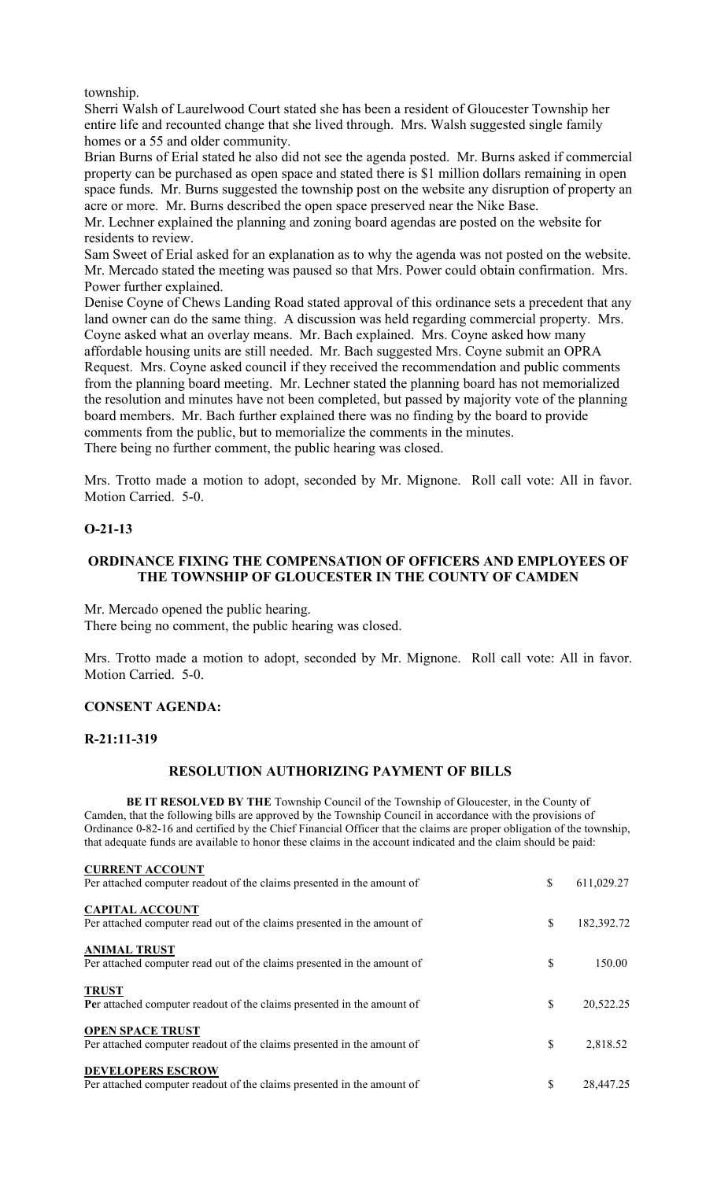township.

Sherri Walsh of Laurelwood Court stated she has been a resident of Gloucester Township her entire life and recounted change that she lived through. Mrs. Walsh suggested single family homes or a 55 and older community.

Brian Burns of Erial stated he also did not see the agenda posted. Mr. Burns asked if commercial property can be purchased as open space and stated there is \$1 million dollars remaining in open space funds. Mr. Burns suggested the township post on the website any disruption of property an acre or more. Mr. Burns described the open space preserved near the Nike Base.

Mr. Lechner explained the planning and zoning board agendas are posted on the website for residents to review.

Sam Sweet of Erial asked for an explanation as to why the agenda was not posted on the website. Mr. Mercado stated the meeting was paused so that Mrs. Power could obtain confirmation. Mrs. Power further explained.

Denise Coyne of Chews Landing Road stated approval of this ordinance sets a precedent that any land owner can do the same thing. A discussion was held regarding commercial property. Mrs. Coyne asked what an overlay means. Mr. Bach explained. Mrs. Coyne asked how many affordable housing units are still needed. Mr. Bach suggested Mrs. Coyne submit an OPRA Request. Mrs. Coyne asked council if they received the recommendation and public comments from the planning board meeting. Mr. Lechner stated the planning board has not memorialized the resolution and minutes have not been completed, but passed by majority vote of the planning board members. Mr. Bach further explained there was no finding by the board to provide comments from the public, but to memorialize the comments in the minutes. There being no further comment, the public hearing was closed.

Mrs. Trotto made a motion to adopt, seconded by Mr. Mignone. Roll call vote: All in favor. Motion Carried. 5-0.

# **O-21-13**

# **ORDINANCE FIXING THE COMPENSATION OF OFFICERS AND EMPLOYEES OF THE TOWNSHIP OF GLOUCESTER IN THE COUNTY OF CAMDEN**

Mr. Mercado opened the public hearing. There being no comment, the public hearing was closed.

Mrs. Trotto made a motion to adopt, seconded by Mr. Mignone. Roll call vote: All in favor. Motion Carried. 5-0.

# **CONSENT AGENDA:**

#### **R-21:11-319**

#### **RESOLUTION AUTHORIZING PAYMENT OF BILLS**

**BE IT RESOLVED BY THE** Township Council of the Township of Gloucester, in the County of Camden, that the following bills are approved by the Township Council in accordance with the provisions of Ordinance 0-82-16 and certified by the Chief Financial Officer that the claims are proper obligation of the township, that adequate funds are available to honor these claims in the account indicated and the claim should be paid:

| <b>CURRENT ACCOUNT</b>                                                                             |    |            |
|----------------------------------------------------------------------------------------------------|----|------------|
| Per attached computer readout of the claims presented in the amount of                             | \$ | 611,029.27 |
| <b>CAPITAL ACCOUNT</b><br>Per attached computer read out of the claims presented in the amount of  | \$ | 182,392.72 |
| <b>ANIMAL TRUST</b><br>Per attached computer read out of the claims presented in the amount of     | S  | 150.00     |
| <b>TRUST</b><br>Per attached computer readout of the claims presented in the amount of             | S  | 20,522.25  |
| <b>OPEN SPACE TRUST</b><br>Per attached computer readout of the claims presented in the amount of  | S  | 2,818.52   |
| <b>DEVELOPERS ESCROW</b><br>Per attached computer readout of the claims presented in the amount of | \$ | 28,447.25  |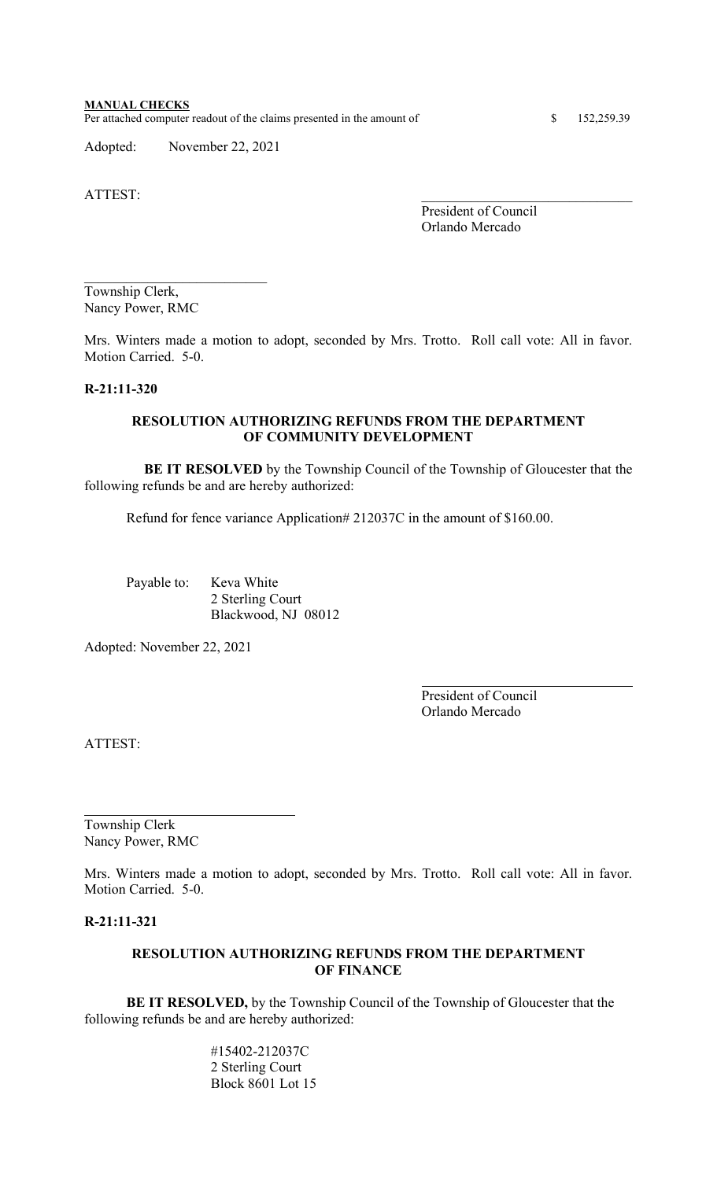#### **MANUAL CHECKS** Per attached computer readout of the claims presented in the amount of \$ 152,259.39

Adopted: November 22, 2021

ATTEST:

President of Council Orlando Mercado

Township Clerk, Nancy Power, RMC

\_\_\_\_\_\_\_\_\_\_\_\_\_\_\_\_\_\_\_\_\_\_\_\_\_\_

Mrs. Winters made a motion to adopt, seconded by Mrs. Trotto. Roll call vote: All in favor. Motion Carried. 5-0.

## **R-21:11-320**

# **RESOLUTION AUTHORIZING REFUNDS FROM THE DEPARTMENT OF COMMUNITY DEVELOPMENT**

 **BE IT RESOLVED** by the Township Council of the Township of Gloucester that the following refunds be and are hereby authorized:

Refund for fence variance Application# 212037C in the amount of \$160.00.

Payable to: Keva White 2 Sterling Court Blackwood, NJ 08012

Adopted: November 22, 2021

President of Council Orlando Mercado

ATTEST:

Township Clerk Nancy Power, RMC

Mrs. Winters made a motion to adopt, seconded by Mrs. Trotto. Roll call vote: All in favor. Motion Carried. 5-0.

# **R-21:11-321**

# **RESOLUTION AUTHORIZING REFUNDS FROM THE DEPARTMENT OF FINANCE**

**BE IT RESOLVED,** by the Township Council of the Township of Gloucester that the following refunds be and are hereby authorized:

> #15402-212037C 2 Sterling Court Block 8601 Lot 15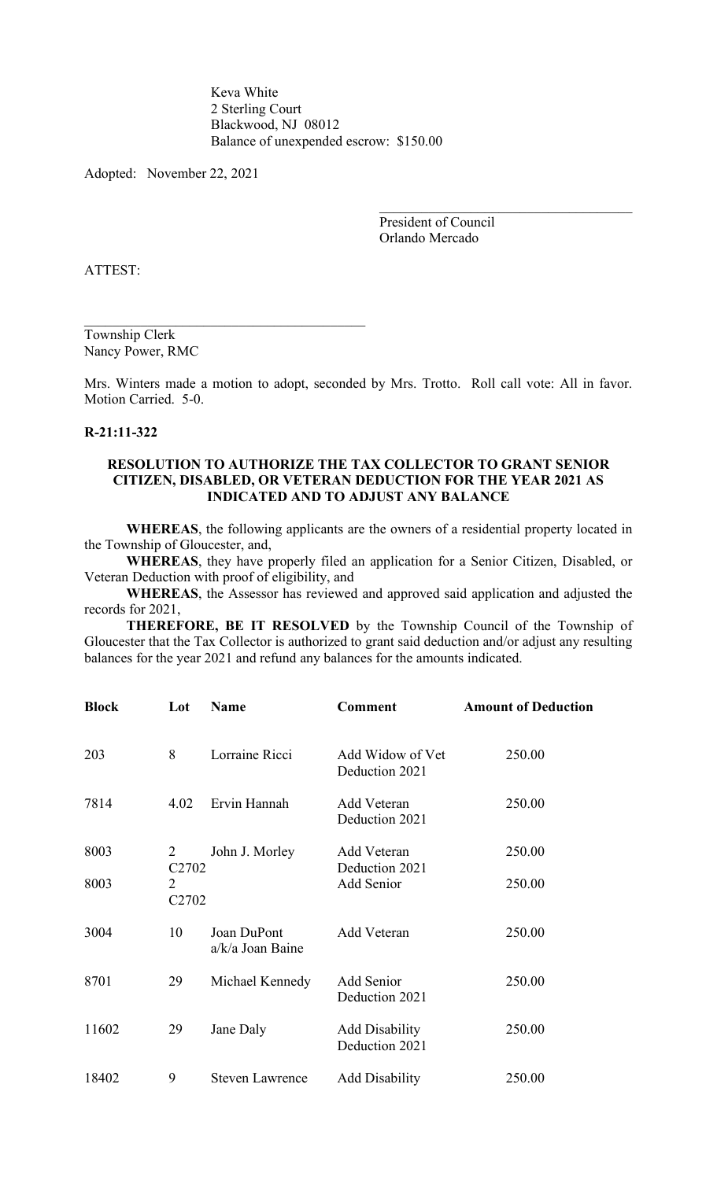Keva White 2 Sterling Court Blackwood, NJ 08012 Balance of unexpended escrow: \$150.00

Adopted: November 22, 2021

\_\_\_\_\_\_\_\_\_\_\_\_\_\_\_\_\_\_\_\_\_\_\_\_\_\_\_\_\_\_\_\_\_\_\_\_\_\_\_\_

President of Council Orlando Mercado

ATTEST:

Township Clerk Nancy Power, RMC

Mrs. Winters made a motion to adopt, seconded by Mrs. Trotto. Roll call vote: All in favor. Motion Carried. 5-0.

#### **R-21:11-322**

## **RESOLUTION TO AUTHORIZE THE TAX COLLECTOR TO GRANT SENIOR CITIZEN, DISABLED, OR VETERAN DEDUCTION FOR THE YEAR 2021 AS INDICATED AND TO ADJUST ANY BALANCE**

**WHEREAS**, the following applicants are the owners of a residential property located in the Township of Gloucester, and,

**WHEREAS**, they have properly filed an application for a Senior Citizen, Disabled, or Veteran Deduction with proof of eligibility, and

**WHEREAS**, the Assessor has reviewed and approved said application and adjusted the records for 2021,

 **THEREFORE, BE IT RESOLVED** by the Township Council of the Township of Gloucester that the Tax Collector is authorized to grant said deduction and/or adjust any resulting balances for the year 2021 and refund any balances for the amounts indicated.

| <b>Block</b> | Lot                                 | Name                            | <b>Comment</b>                          | <b>Amount of Deduction</b> |
|--------------|-------------------------------------|---------------------------------|-----------------------------------------|----------------------------|
| 203          | 8                                   | Lorraine Ricci                  | Add Widow of Vet<br>Deduction 2021      | 250.00                     |
| 7814         | 4.02                                | Ervin Hannah                    | Add Veteran<br>Deduction 2021           | 250.00                     |
| 8003         | 2<br>C <sub>2702</sub>              | John J. Morley                  | Add Veteran<br>Deduction 2021           | 250.00                     |
| 8003         | $\overline{2}$<br>C <sub>2702</sub> |                                 | Add Senior                              | 250.00                     |
| 3004         | 10                                  | Joan DuPont<br>a/k/a Joan Baine | Add Veteran                             | 250.00                     |
| 8701         | 29                                  | Michael Kennedy                 | Add Senior<br>Deduction 2021            | 250.00                     |
| 11602        | 29                                  | Jane Daly                       | <b>Add Disability</b><br>Deduction 2021 | 250.00                     |
| 18402        | 9                                   | <b>Steven Lawrence</b>          | <b>Add Disability</b>                   | 250.00                     |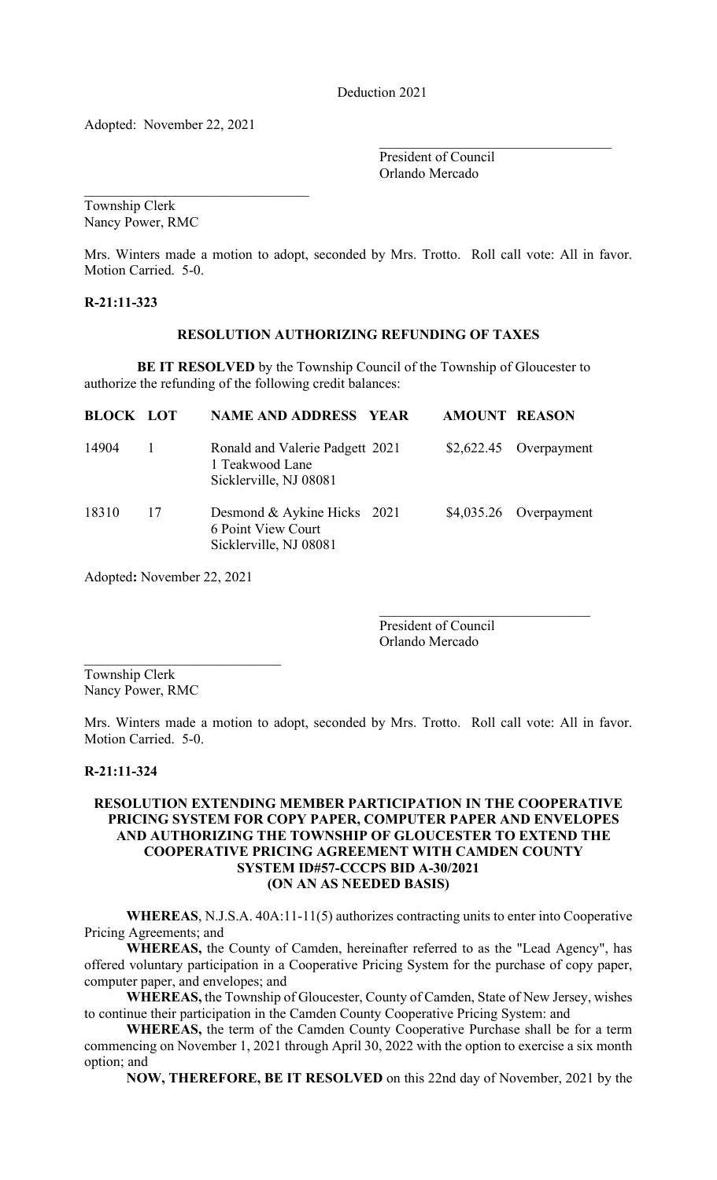Deduction 2021

Adopted: November 22, 2021

 $\mathcal{L}_\text{max}$  and  $\mathcal{L}_\text{max}$  and  $\mathcal{L}_\text{max}$  and  $\mathcal{L}_\text{max}$ 

 $\mathcal{L}_\mathcal{L}$  , where  $\mathcal{L}_\mathcal{L}$  , we are the set of the set of the set of the set of the set of the set of the set of the set of the set of the set of the set of the set of the set of the set of the set of the set o President of Council Orlando Mercado

Township Clerk Nancy Power, RMC

Mrs. Winters made a motion to adopt, seconded by Mrs. Trotto. Roll call vote: All in favor. Motion Carried. 5-0.

**R-21:11-323**

## **RESOLUTION AUTHORIZING REFUNDING OF TAXES**

**BE IT RESOLVED** by the Township Council of the Township of Gloucester to authorize the refunding of the following credit balances:

| <b>BLOCK LOT</b> |    | <b>NAME AND ADDRESS YEAR</b>                                                 | <b>AMOUNT REASON</b> |                         |
|------------------|----|------------------------------------------------------------------------------|----------------------|-------------------------|
| 14904            |    | Ronald and Valerie Padgett 2021<br>1 Teakwood Lane<br>Sicklerville, NJ 08081 |                      | $$2,622.45$ Overpayment |
| 18310            | 17 | Desmond & Aykine Hicks 2021<br>6 Point View Court<br>Sicklerville, NJ 08081  |                      | $$4,035.26$ Overpayment |

Adopted**:** November 22, 2021

 $\mathcal{L}_\mathcal{L}$  , which is a set of the set of the set of the set of the set of the set of the set of the set of the set of the set of the set of the set of the set of the set of the set of the set of the set of the set of

President of Council Orlando Mercado

Township Clerk Nancy Power, RMC

Mrs. Winters made a motion to adopt, seconded by Mrs. Trotto. Roll call vote: All in favor. Motion Carried. 5-0.

#### **R-21:11-324**

# **RESOLUTION EXTENDING MEMBER PARTICIPATION IN THE COOPERATIVE PRICING SYSTEM FOR COPY PAPER, COMPUTER PAPER AND ENVELOPES AND AUTHORIZING THE TOWNSHIP OF GLOUCESTER TO EXTEND THE COOPERATIVE PRICING AGREEMENT WITH CAMDEN COUNTY SYSTEM ID#57-CCCPS BID A-30/2021 (ON AN AS NEEDED BASIS)**

**WHEREAS**, N.J.S.A. 40A:11-11(5) authorizes contracting units to enter into Cooperative Pricing Agreements; and

**WHEREAS,** the County of Camden, hereinafter referred to as the "Lead Agency", has offered voluntary participation in a Cooperative Pricing System for the purchase of copy paper, computer paper, and envelopes; and

**WHEREAS,** the Township of Gloucester, County of Camden, State of New Jersey, wishes to continue their participation in the Camden County Cooperative Pricing System: and

**WHEREAS,** the term of the Camden County Cooperative Purchase shall be for a term commencing on November 1, 2021 through April 30, 2022 with the option to exercise a six month option; and

**NOW, THEREFORE, BE IT RESOLVED** on this 22nd day of November, 2021 by the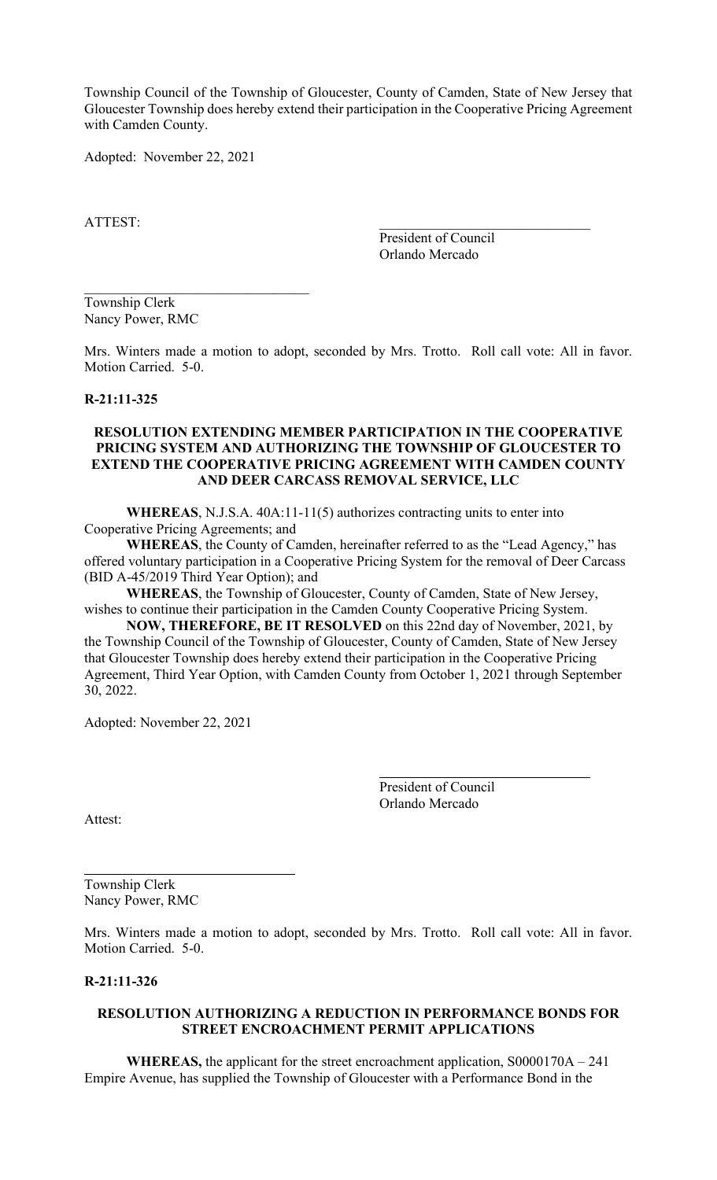Township Council of the Township of Gloucester, County of Camden, State of New Jersey that Gloucester Township does hereby extend their participation in the Cooperative Pricing Agreement with Camden County.

Adopted: November 22, 2021

ATTEST:

President of Council Orlando Mercado

Township Clerk Nancy Power, RMC

Mrs. Winters made a motion to adopt, seconded by Mrs. Trotto. Roll call vote: All in favor. Motion Carried. 5-0.

# **R-21:11-325**

## **RESOLUTION EXTENDING MEMBER PARTICIPATION IN THE COOPERATIVE PRICING SYSTEM AND AUTHORIZING THE TOWNSHIP OF GLOUCESTER TO EXTEND THE COOPERATIVE PRICING AGREEMENT WITH CAMDEN COUNTY AND DEER CARCASS REMOVAL SERVICE, LLC**

**WHEREAS**, N.J.S.A. 40A:11-11(5) authorizes contracting units to enter into Cooperative Pricing Agreements; and

**WHEREAS**, the County of Camden, hereinafter referred to as the "Lead Agency," has offered voluntary participation in a Cooperative Pricing System for the removal of Deer Carcass (BID A-45/2019 Third Year Option); and

**WHEREAS**, the Township of Gloucester, County of Camden, State of New Jersey, wishes to continue their participation in the Camden County Cooperative Pricing System.

**NOW, THEREFORE, BE IT RESOLVED** on this 22nd day of November, 2021, by the Township Council of the Township of Gloucester, County of Camden, State of New Jersey that Gloucester Township does hereby extend their participation in the Cooperative Pricing Agreement, Third Year Option, with Camden County from October 1, 2021 through September 30, 2022.

Adopted: November 22, 2021

President of Council Orlando Mercado

Attest:

Township Clerk Nancy Power, RMC

Mrs. Winters made a motion to adopt, seconded by Mrs. Trotto. Roll call vote: All in favor. Motion Carried. 5-0.

#### **R-21:11-326**

## **RESOLUTION AUTHORIZING A REDUCTION IN PERFORMANCE BONDS FOR STREET ENCROACHMENT PERMIT APPLICATIONS**

**WHEREAS,** the applicant for the street encroachment application, S0000170A – 241 Empire Avenue, has supplied the Township of Gloucester with a Performance Bond in the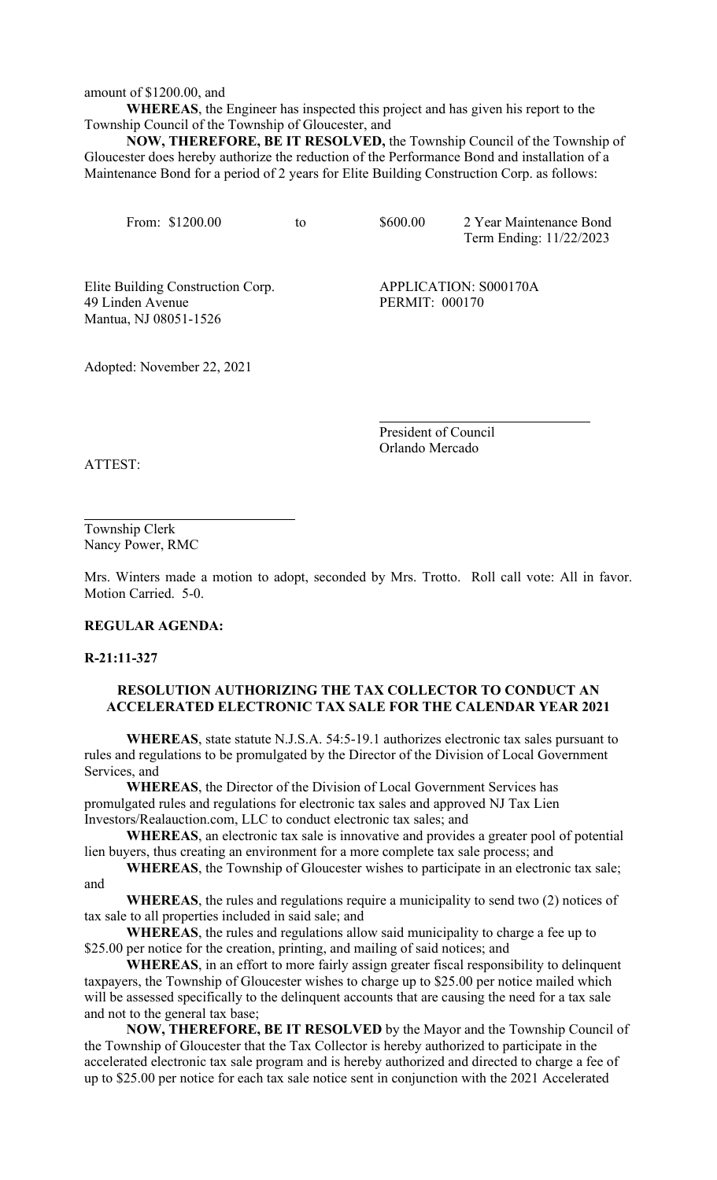amount of \$1200.00, and

**WHEREAS**, the Engineer has inspected this project and has given his report to the Township Council of the Township of Gloucester, and

**NOW, THEREFORE, BE IT RESOLVED,** the Township Council of the Township of Gloucester does hereby authorize the reduction of the Performance Bond and installation of a Maintenance Bond for a period of 2 years for Elite Building Construction Corp. as follows:

From: \$1200.00 to \$600.00 2 Year Maintenance Bond Term Ending: 11/22/2023

Elite Building Construction Corp. APPLICATION: S000170A 49 Linden Avenue PERMIT: 000170 Mantua, NJ 08051-1526

Adopted: November 22, 2021

President of Council Orlando Mercado

ATTEST:

Township Clerk Nancy Power, RMC

Mrs. Winters made a motion to adopt, seconded by Mrs. Trotto. Roll call vote: All in favor. Motion Carried. 5-0.

#### **REGULAR AGENDA:**

**R-21:11-327**

# **RESOLUTION AUTHORIZING THE TAX COLLECTOR TO CONDUCT AN ACCELERATED ELECTRONIC TAX SALE FOR THE CALENDAR YEAR 2021**

**WHEREAS**, state statute N.J.S.A. 54:5-19.1 authorizes electronic tax sales pursuant to rules and regulations to be promulgated by the Director of the Division of Local Government Services, and

**WHEREAS**, the Director of the Division of Local Government Services has promulgated rules and regulations for electronic tax sales and approved NJ Tax Lien Investors/Realauction.com, LLC to conduct electronic tax sales; and

**WHEREAS**, an electronic tax sale is innovative and provides a greater pool of potential lien buyers, thus creating an environment for a more complete tax sale process; and

**WHEREAS**, the Township of Gloucester wishes to participate in an electronic tax sale; and

**WHEREAS**, the rules and regulations require a municipality to send two (2) notices of tax sale to all properties included in said sale; and

**WHEREAS**, the rules and regulations allow said municipality to charge a fee up to \$25.00 per notice for the creation, printing, and mailing of said notices; and

**WHEREAS**, in an effort to more fairly assign greater fiscal responsibility to delinquent taxpayers, the Township of Gloucester wishes to charge up to \$25.00 per notice mailed which will be assessed specifically to the delinquent accounts that are causing the need for a tax sale and not to the general tax base;

**NOW, THEREFORE, BE IT RESOLVED** by the Mayor and the Township Council of the Township of Gloucester that the Tax Collector is hereby authorized to participate in the accelerated electronic tax sale program and is hereby authorized and directed to charge a fee of up to \$25.00 per notice for each tax sale notice sent in conjunction with the 2021 Accelerated